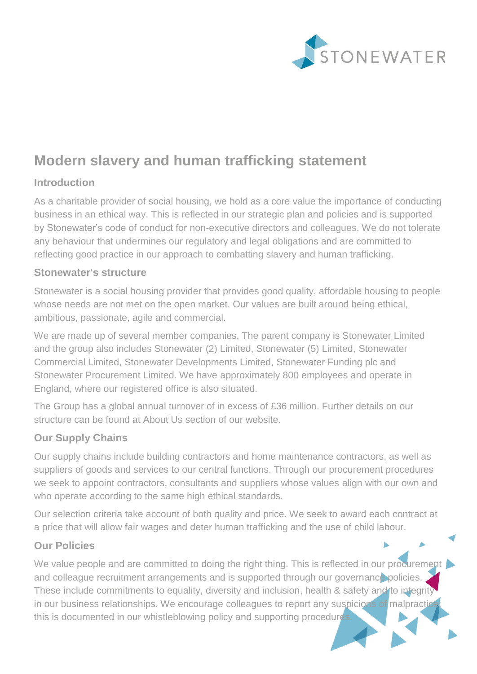

# **Modern slavery and human trafficking statement**

## **Introduction**

As a charitable provider of social housing, we hold as a core value the importance of conducting business in an ethical way. This is reflected in our strategic plan and policies and is supported by Stonewater's code of conduct for non-executive directors and colleagues. We do not tolerate any behaviour that undermines our regulatory and legal obligations and are committed to reflecting good practice in our approach to combatting slavery and human trafficking.

#### **Stonewater's structure**

Stonewater is a social housing provider that provides good quality, affordable housing to people whose needs are not met on the open market. Our values are built around being ethical, ambitious, passionate, agile and commercial.

We are made up of several member companies. The parent company is Stonewater Limited and the group also includes Stonewater (2) Limited, Stonewater (5) Limited, Stonewater Commercial Limited, Stonewater Developments Limited, Stonewater Funding plc and Stonewater Procurement Limited. We have approximately 800 employees and operate in England, where our registered office is also situated.

The Group has a global annual turnover of in excess of £36 million. Further details on our structure can be found at About Us section of our website.

#### **Our Supply Chains**

Our supply chains include building contractors and home maintenance contractors, as well as suppliers of goods and services to our central functions. Through our procurement procedures we seek to appoint contractors, consultants and suppliers whose values align with our own and who operate according to the same high ethical standards.

Our selection criteria take account of both quality and price. We seek to award each contract at a price that will allow fair wages and deter human trafficking and the use of child labour.

## **Our Policies**

We value people and are committed to doing the right thing. This is reflected in our procurement and colleague recruitment arrangements and is supported through our governance policies. These include commitments to equality, diversity and inclusion, health & safety and to integrity in our business relationships. We encourage colleagues to report any suspicions of malpractice this is documented in our whistleblowing policy and supporting procedures.